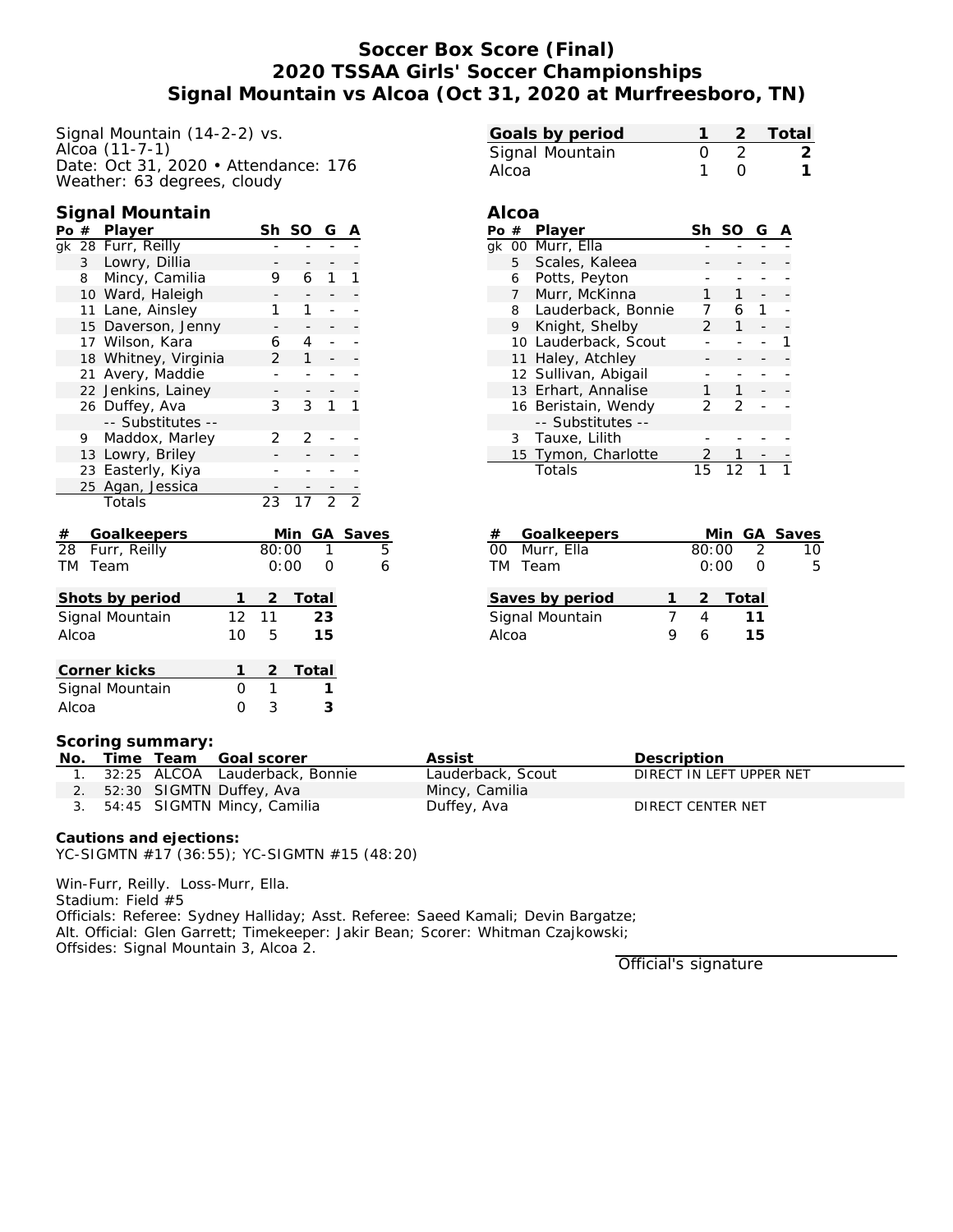# **Soccer Box Score (Final) 2020 TSSAA Girls' Soccer Championships Signal Mountain vs Alcoa (Oct 31, 2020 at Murfreesboro, TN)**

Signal Mountain (14-2-2) vs. Alcoa (11-7-1) Date: Oct 31, 2020 • Attendance: 176 Weather: 63 degrees, cloudy

### **Signal Mountain**

| Po#               |              | Player             |    |                | SO             | G              | Α              |          |
|-------------------|--------------|--------------------|----|----------------|----------------|----------------|----------------|----------|
| gk                |              | 28 Furr, Reilly    |    |                |                |                |                |          |
|                   | $\mathbf{3}$ | Lowry, Dillia      |    |                |                |                |                |          |
|                   | 8            | Mincy, Camilia     | 9  | 6              | 1              | 1              |                |          |
|                   |              | 10 Ward, Haleigh   |    |                |                |                |                |          |
|                   |              | 11 Lane, Ainsley   |    | 1              | 1              |                |                |          |
|                   |              | 15 Daverson, Jenny |    |                |                |                |                |          |
|                   |              | 17 Wilson, Kara    |    | 6              | $\overline{4}$ |                |                |          |
|                   | 18           | Whitney, Virginia  |    | $\overline{2}$ | $\mathbf{1}$   |                |                |          |
|                   | 21           | Avery, Maddie      |    |                |                |                |                |          |
|                   | 22           | Jenkins, Lainey    |    |                |                |                |                |          |
|                   |              | 26 Duffey, Ava     |    | 3              | 3              | 1              | 1              |          |
|                   |              | -- Substitutes --  |    |                |                |                |                |          |
|                   | 9.           | Maddox, Marley     |    | $\overline{2}$ | 2              |                |                |          |
|                   |              | 13 Lowry, Briley   |    |                |                |                |                |          |
|                   |              | 23 Easterly, Kiya  |    |                |                |                |                |          |
|                   |              | 25 Agan, Jessica   |    |                |                |                |                |          |
|                   |              | Totals             |    | 23             | 17             | $\overline{2}$ | $\overline{2}$ |          |
|                   |              |                    |    |                |                |                |                |          |
| $\#$              |              | Goalkeepers        |    |                | Min            |                |                | GA Saves |
| 28                |              | Furr, Reilly       |    | 80:00          |                | 1              |                | 5        |
| <b>TM</b><br>Team |              |                    |    |                | 0:00           | O              |                | 6        |
|                   |              |                    |    |                |                |                |                |          |
|                   |              | Shots by period    | 1  | 2              | Total          |                |                |          |
| Signal Mountain   |              |                    |    | 11             |                | 23             |                |          |
| Alcoa             |              |                    | 10 | 5              |                | 15             |                |          |
|                   |              |                    |    |                |                |                |                |          |
|                   |              | Corner kicks       | 1  | $\overline{2}$ | Total          |                |                |          |
| Signal Mountain   |              |                    |    | 1              |                | 1              |                |          |
| Alcoa             |              |                    | 0  | 3              |                | 3              |                |          |
|                   |              |                    |    |                |                |                |                |          |

| Goals by period |  | 2 Total |
|-----------------|--|---------|
| Signal Mountain |  |         |
| Alcoa           |  |         |

### **Alcoa**

| Po # |                | Player               | Sh | SO | G |  |
|------|----------------|----------------------|----|----|---|--|
|      |                | gk 00 Murr, Ella     |    |    |   |  |
|      | 5              | Scales, Kaleea       |    |    |   |  |
|      | 6              | Potts, Peyton        |    |    |   |  |
|      | $\overline{7}$ | Murr, McKinna        | 1  | 1  |   |  |
|      | 8              | Lauderback, Bonnie   |    | 6  |   |  |
|      | 9              | Knight, Shelby       | 2  | 1  |   |  |
|      |                | 10 Lauderback, Scout |    |    |   |  |
|      |                | 11 Haley, Atchley    |    |    |   |  |
|      |                | 12 Sullivan, Abigail |    |    |   |  |
|      |                | 13 Erhart, Annalise  |    |    |   |  |
|      |                | 16 Beristain, Wendy  | 2  | 2  |   |  |
|      |                | -- Substitutes --    |    |    |   |  |
|      |                | 3 Tauxe, Lilith      |    |    |   |  |
|      |                | 15 Tymon, Charlotte  |    |    |   |  |
|      |                | Totals               | 15 | 12 |   |  |

|       | # Goalkeepers   |       |         | Min GA Saves |
|-------|-----------------|-------|---------|--------------|
|       | 00 Murr, Ella   | 80:00 | -2      | 10           |
|       | TM Team         | 0:00  |         | 5            |
|       | Saves by period |       | 2 Total |              |
|       | Signal Mountain |       | 11      |              |
| Alcoa |                 | Һ     | 15      |              |

#### **Scoring summary:**

|  | No. Time Team Goal scorer         | Assist            | Description              |
|--|-----------------------------------|-------------------|--------------------------|
|  | 1. 32:25 ALCOA Lauderback, Bonnie | Lauderback, Scout | DIRECT IN LEFT UPPER NET |
|  | 2. 52:30 SIGMTN Duffey, Ava       | Mincy, Camilia    |                          |
|  | 3. 54:45 SIGMTN Mincy, Camilia    | Duffey, Ava       | DIRECT CENTER NET        |

**Cautions and ejections:** YC-SIGMTN #17 (36:55); YC-SIGMTN #15 (48:20)

Win-Furr, Reilly. Loss-Murr, Ella.

Stadium: Field #5

Officials: Referee: Sydney Halliday; Asst. Referee: Saeed Kamali; Devin Bargatze;

Alt. Official: Glen Garrett; Timekeeper: Jakir Bean; Scorer: Whitman Czajkowski;

Offsides: Signal Mountain 3, Alcoa 2.

Official's signature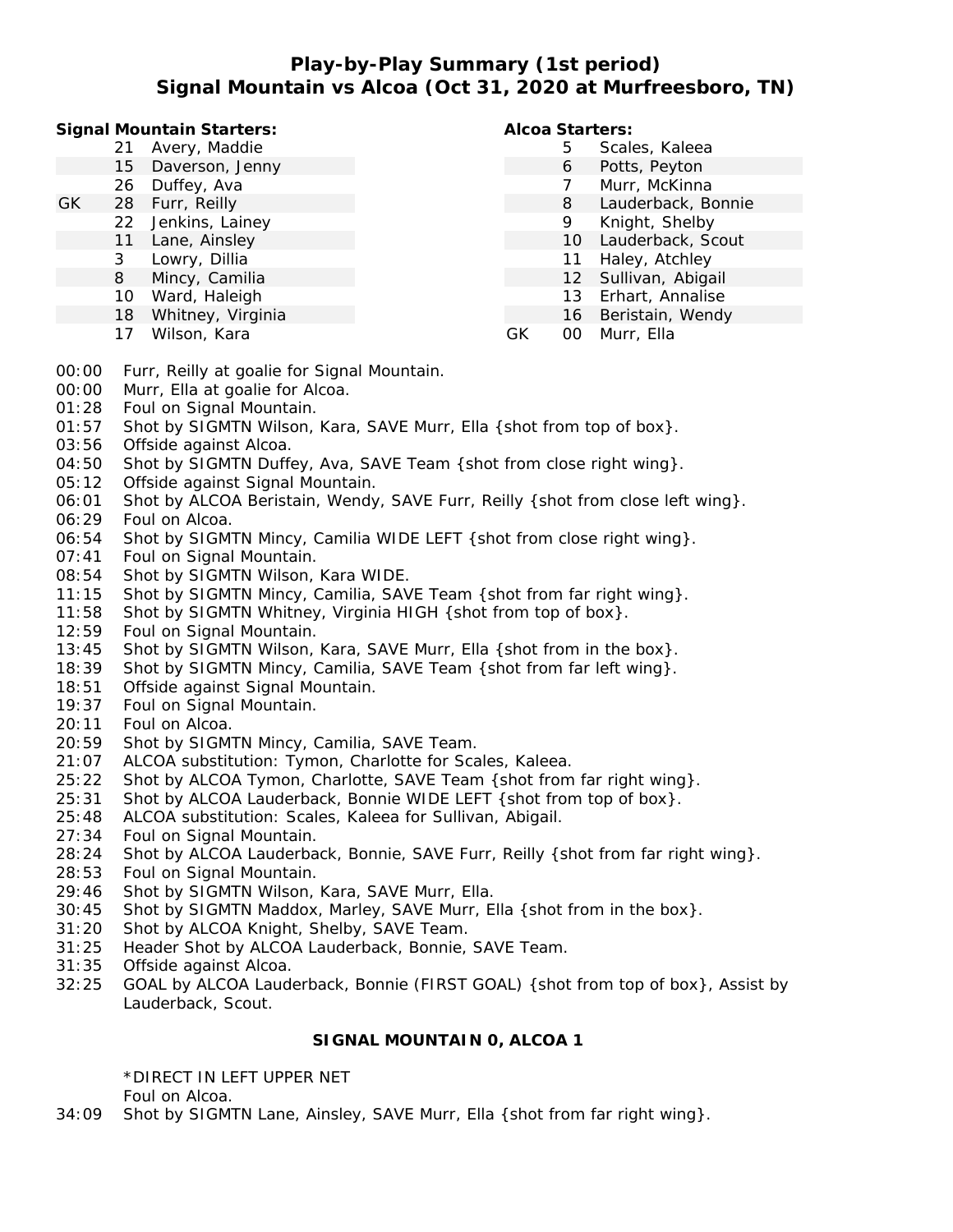## **Play-by-Play Summary (1st period) Signal Mountain vs Alcoa (Oct 31, 2020 at Murfreesboro, TN)**

**Signal Mountain Starters:**

- 21 Avery, Maddie
- 15 Daverson, Jenny
- 26 Duffey, Ava
- GK 28 Furr, Reilly
	- 22 Jenkins, Lainey
	- 11 Lane, Ainsley
	- 3 Lowry, Dillia
	- 8 Mincy, Camilia
	- 10 Ward, Haleigh
	- 18 Whitney, Virginia
	- 17 Wilson, Kara

### **Alcoa Starters:**

- 5 Scales, Kaleea
- 6 Potts, Peyton
- 7 Murr, McKinna
- 8 Lauderback, Bonnie
- 9 Knight, Shelby
- 10 Lauderback, Scout
- 11 Haley, Atchley
- 12 Sullivan, Abigail
- 13 Erhart, Annalise
- 16 Beristain, Wendy
- GK 00 Murr, Ella
- 00:00 Furr, Reilly at goalie for Signal Mountain.
- 00:00 Murr, Ella at goalie for Alcoa.
- 01:28 Foul on Signal Mountain.
- 01:57 Shot by SIGMTN Wilson, Kara, SAVE Murr, Ella {shot from top of box}.
- 03:56 Offside against Alcoa.
- 04:50 Shot by SIGMTN Duffey, Ava, SAVE Team { shot from close right wing }.
- 05:12 Offside against Signal Mountain.
- 06:01 Shot by ALCOA Beristain, Wendy, SAVE Furr, Reilly {shot from close left wing}.
- 06:29 Foul on Alcoa.
- 06:54 Shot by SIGMTN Mincy, Camilia WIDE LEFT {shot from close right wing}.
- 07:41 Foul on Signal Mountain.
- 08:54 Shot by SIGMTN Wilson, Kara WIDE.
- 11:15 Shot by SIGMTN Mincy, Camilia, SAVE Team {shot from far right wing}.
- 11:58 Shot by SIGMTN Whitney, Virginia HIGH {shot from top of box}.
- 12:59 Foul on Signal Mountain.
- 13:45 Shot by SIGMTN Wilson, Kara, SAVE Murr, Ella {shot from in the box}.
- 18:39 Shot by SIGMTN Mincy, Camilia, SAVE Team {shot from far left wing}.
- 18:51 Offside against Signal Mountain.
- 19:37 Foul on Signal Mountain.
- 20:11 Foul on Alcoa.
- 20:59 Shot by SIGMTN Mincy, Camilia, SAVE Team.
- 21:07 ALCOA substitution: Tymon, Charlotte for Scales, Kaleea.
- 25:22 Shot by ALCOA Tymon, Charlotte, SAVE Team {shot from far right wing}.
- 25:31 Shot by ALCOA Lauderback, Bonnie WIDE LEFT {shot from top of box}.
- 25:48 ALCOA substitution: Scales, Kaleea for Sullivan, Abigail.
- 27:34 Foul on Signal Mountain.
- 28:24 Shot by ALCOA Lauderback, Bonnie, SAVE Furr, Reilly {shot from far right wing}.
- 28:53 Foul on Signal Mountain.
- 29:46 Shot by SIGMTN Wilson, Kara, SAVE Murr, Ella.
- 30:45 Shot by SIGMTN Maddox, Marley, SAVE Murr, Ella {shot from in the box}.
- 31:20 Shot by ALCOA Knight, Shelby, SAVE Team.
- 31:25 Header Shot by ALCOA Lauderback, Bonnie, SAVE Team.
- 31:35 Offside against Alcoa.
- 32:25 GOAL by ALCOA Lauderback, Bonnie (FIRST GOAL) {shot from top of box}, Assist by Lauderback, Scout.

### **SIGNAL MOUNTAIN 0, ALCOA 1**

\*DIRECT IN LEFT UPPER NET

Foul on Alcoa.

34:09 Shot by SIGMTN Lane, Ainsley, SAVE Murr, Ella {shot from far right wing}.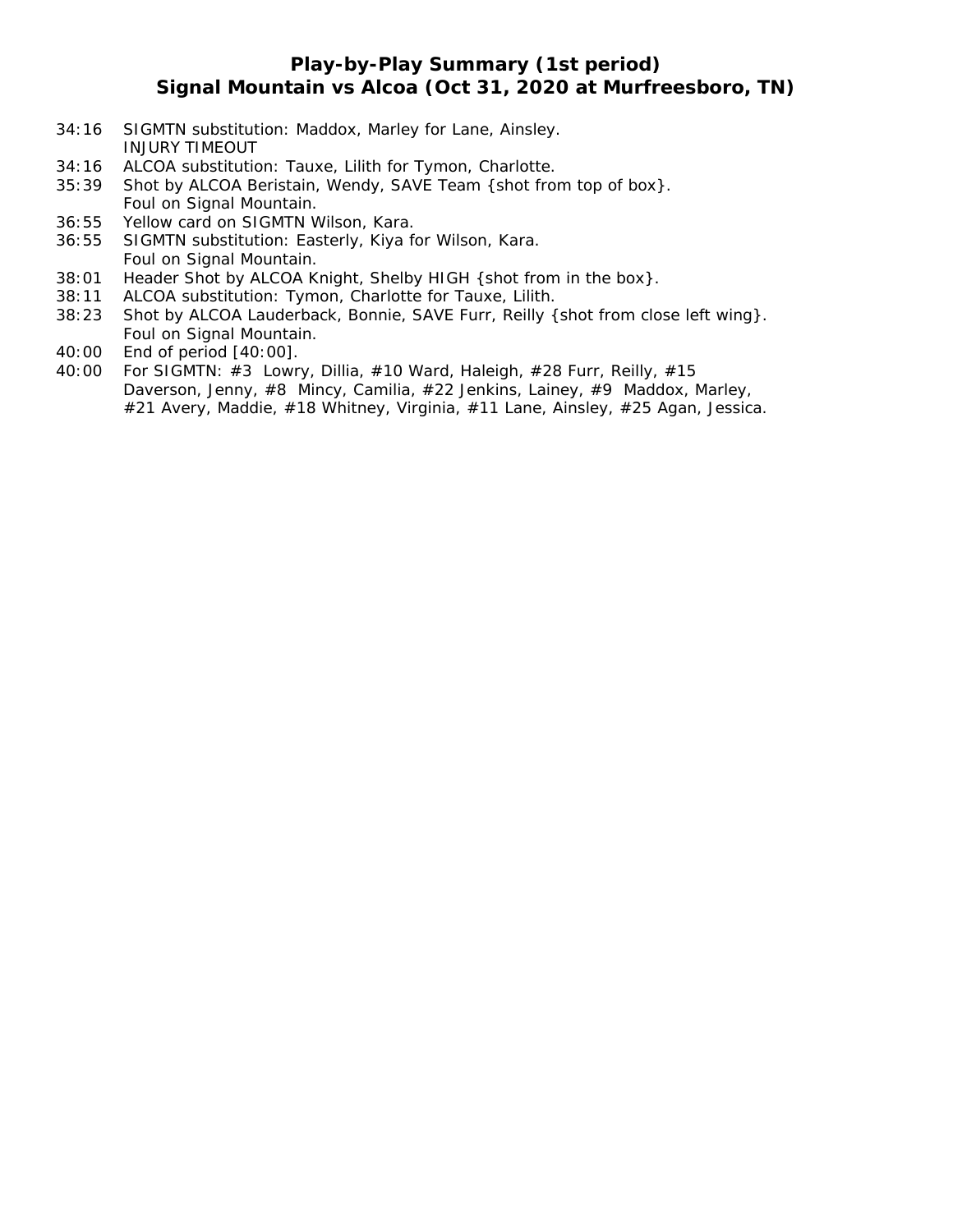## **Play-by-Play Summary (1st period) Signal Mountain vs Alcoa (Oct 31, 2020 at Murfreesboro, TN)**

- 34:16 SIGMTN substitution: Maddox, Marley for Lane, Ainsley. INJURY TIMEOUT
- 34:16 ALCOA substitution: Tauxe, Lilith for Tymon, Charlotte.
- 35:39 Shot by ALCOA Beristain, Wendy, SAVE Team {shot from top of box}. Foul on Signal Mountain.
- 36:55 Yellow card on SIGMTN Wilson, Kara.
- 36:55 SIGMTN substitution: Easterly, Kiya for Wilson, Kara. Foul on Signal Mountain.
- 38:01 Header Shot by ALCOA Knight, Shelby HIGH {shot from in the box}.
- 38:11 ALCOA substitution: Tymon, Charlotte for Tauxe, Lilith.
- 38:23 Shot by ALCOA Lauderback, Bonnie, SAVE Furr, Reilly {shot from close left wing}. Foul on Signal Mountain.
- 40:00 End of period [40:00].
- 40:00 For SIGMTN: #3 Lowry, Dillia, #10 Ward, Haleigh, #28 Furr, Reilly, #15 Daverson, Jenny, #8 Mincy, Camilia, #22 Jenkins, Lainey, #9 Maddox, Marley, #21 Avery, Maddie, #18 Whitney, Virginia, #11 Lane, Ainsley, #25 Agan, Jessica.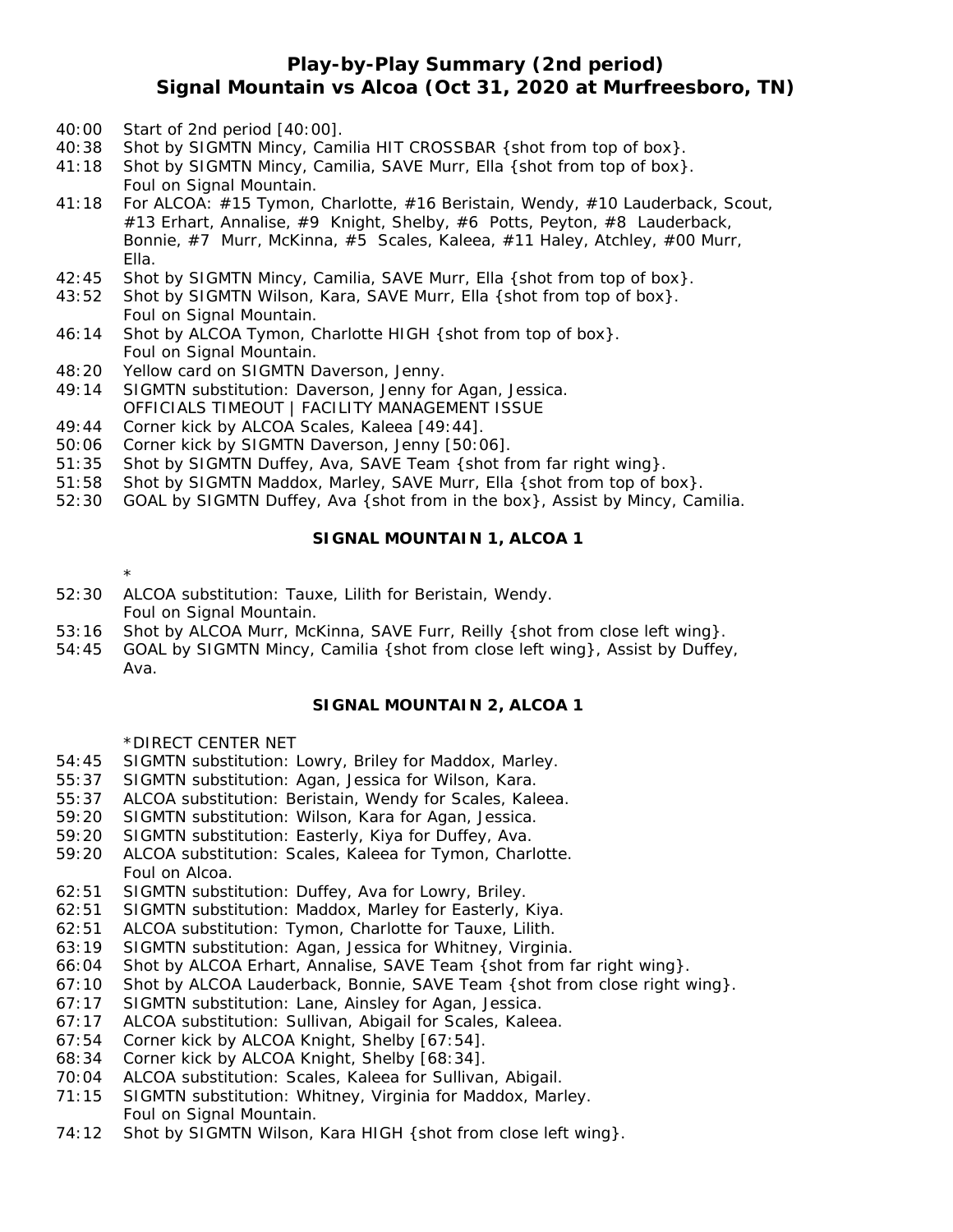## **Play-by-Play Summary (2nd period) Signal Mountain vs Alcoa (Oct 31, 2020 at Murfreesboro, TN)**

- 40:00 Start of 2nd period [40:00].
- 40:38 Shot by SIGMTN Mincy, Camilia HIT CROSSBAR {shot from top of box}.
- 41:18 Shot by SIGMTN Mincy, Camilia, SAVE Murr, Ella {shot from top of box}. Foul on Signal Mountain.
- 41:18 For ALCOA: #15 Tymon, Charlotte, #16 Beristain, Wendy, #10 Lauderback, Scout, #13 Erhart, Annalise, #9 Knight, Shelby, #6 Potts, Peyton, #8 Lauderback, Bonnie, #7 Murr, McKinna, #5 Scales, Kaleea, #11 Haley, Atchley, #00 Murr, Ella.
- 42:45 Shot by SIGMTN Mincy, Camilia, SAVE Murr, Ella {shot from top of box}.
- 43:52 Shot by SIGMTN Wilson, Kara, SAVE Murr, Ella {shot from top of box}. Foul on Signal Mountain.
- 46:14 Shot by ALCOA Tymon, Charlotte HIGH {shot from top of box}. Foul on Signal Mountain.
- 48:20 Yellow card on SIGMTN Daverson, Jenny.
- 49:14 SIGMTN substitution: Daverson, Jenny for Agan, Jessica. OFFICIALS TIMEOUT | FACILITY MANAGEMENT ISSUE
- 49:44 Corner kick by ALCOA Scales, Kaleea [49:44].
- 50:06 Corner kick by SIGMTN Daverson, Jenny [50:06].
- 51:35 Shot by SIGMTN Duffey, Ava, SAVE Team {shot from far right wing}.
- 51:58 Shot by SIGMTN Maddox, Marley, SAVE Murr, Ella {shot from top of box}.
- 52:30 GOAL by SIGMTN Duffey, Ava {shot from in the box}, Assist by Mincy, Camilia.

### **SIGNAL MOUNTAIN 1, ALCOA 1**

- \*
- 52:30 ALCOA substitution: Tauxe, Lilith for Beristain, Wendy. Foul on Signal Mountain.
- 53:16 Shot by ALCOA Murr, McKinna, SAVE Furr, Reilly {shot from close left wing}.
- 54:45 GOAL by SIGMTN Mincy, Camilia {shot from close left wing}, Assist by Duffey, Ava.

#### **SIGNAL MOUNTAIN 2, ALCOA 1**

#### \*DIRECT CENTER NET

- 54:45 SIGMTN substitution: Lowry, Briley for Maddox, Marley.
- 55:37 SIGMTN substitution: Agan, Jessica for Wilson, Kara.
- 55:37 ALCOA substitution: Beristain, Wendy for Scales, Kaleea.
- 59:20 SIGMTN substitution: Wilson, Kara for Agan, Jessica.
- 59:20 SIGMTN substitution: Easterly, Kiya for Duffey, Ava.
- 59:20 ALCOA substitution: Scales, Kaleea for Tymon, Charlotte. Foul on Alcoa.
- 62:51 SIGMTN substitution: Duffey, Ava for Lowry, Briley.
- 62:51 SIGMTN substitution: Maddox, Marley for Easterly, Kiya.
- 62:51 ALCOA substitution: Tymon, Charlotte for Tauxe, Lilith.
- 63:19 SIGMTN substitution: Agan, Jessica for Whitney, Virginia.
- 66:04 Shot by ALCOA Erhart, Annalise, SAVE Team {shot from far right wing}.
- 67:10 Shot by ALCOA Lauderback, Bonnie, SAVE Team {shot from close right wing}.
- 67:17 SIGMTN substitution: Lane, Ainsley for Agan, Jessica.
- 67:17 ALCOA substitution: Sullivan, Abigail for Scales, Kaleea.
- 67:54 Corner kick by ALCOA Knight, Shelby [67:54].
- 68:34 Corner kick by ALCOA Knight, Shelby [68:34].
- 70:04 ALCOA substitution: Scales, Kaleea for Sullivan, Abigail.
- 71:15 SIGMTN substitution: Whitney, Virginia for Maddox, Marley. Foul on Signal Mountain.
- 74:12 Shot by SIGMTN Wilson, Kara HIGH {shot from close left wing}.